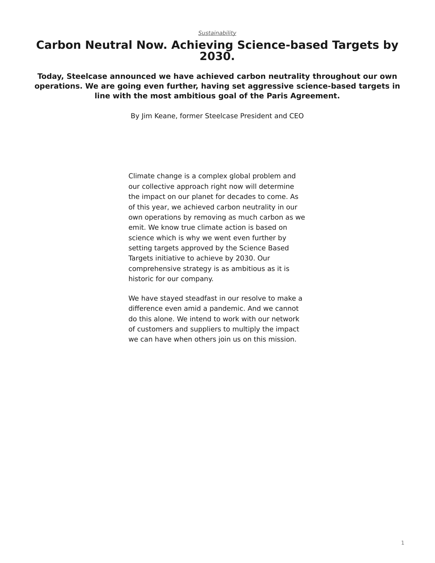## <span id="page-0-0"></span>**Carbon Neutral Now. Achieving Science-based Targets by 2030.**

**Today, Steelcase announced we have achieved carbon neutrality throughout our own operations. We are going even further, having set aggressive science-based targets in line with the most ambitious goal of the Paris Agreement.**

By Jim Keane, former Steelcase President and CEO

Climate change is a complex global problem and our collective approach right now will determine the impact on our planet for decades to come. As of this year, we achieved carbon neutrality in our own operations by removing as much carbon as we emit. We know true climate action is based on science which is why we went even further by setting targets approved by the Science Based Targets initiative to achieve by 2030. Our comprehensive strategy is as ambitious as it is historic for our company.

We have stayed steadfast in our resolve to make a difference even amid a pandemic. And we cannot do this alone. We intend to work with our network of customers and suppliers to multiply the impact we can have when others join us on this mission.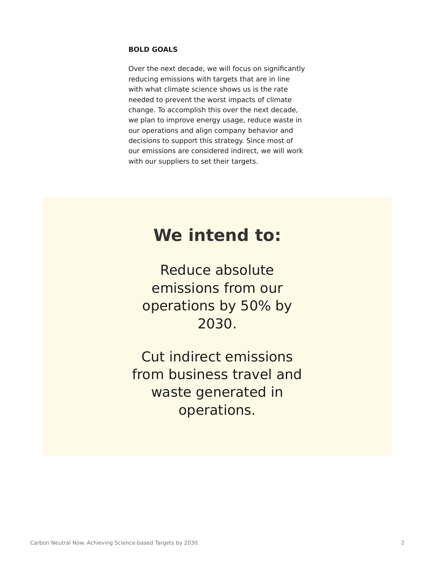### **BOLD GOALS**

Over the next decade, we will focus on significantly reducing emissions with targets that are in line with what climate science shows us is the rate needed to prevent the worst impacts of climate change. To accomplish this over the next decade, we plan to improve energy usage, reduce waste in our operations and align company behavior and decisions to support this strategy. Since most of our emissions are considered indirect, we will work with our suppliers to set their targets.

## **We intend to:**

Reduce absolute emissions from our operations by 50% by 2030.

Cut indirect emissions from business travel and waste generated in operations.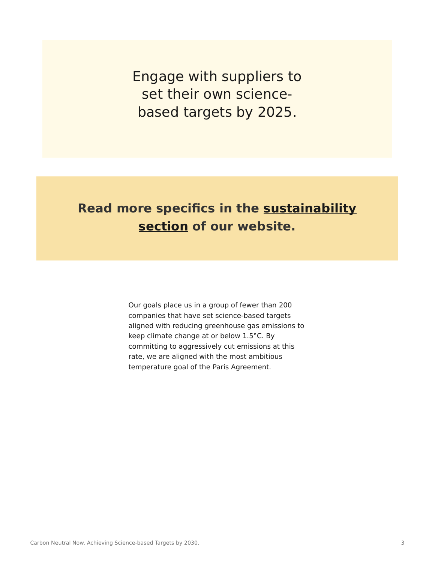Engage with suppliers to set their own sciencebased targets by 2025.

## **Read more specifics in the [sustainability](https://www.steelcase.com/discover/steelcase/sustainability/) [section](https://www.steelcase.com/discover/steelcase/sustainability/) of our website.**

Our goals place us in a group of fewer than 200 companies that have set science-based targets aligned with reducing greenhouse gas emissions to keep climate change at or below 1.5°C. By committing to aggressively cut emissions at this rate, we are aligned with the most ambitious temperature goal of the Paris Agreement.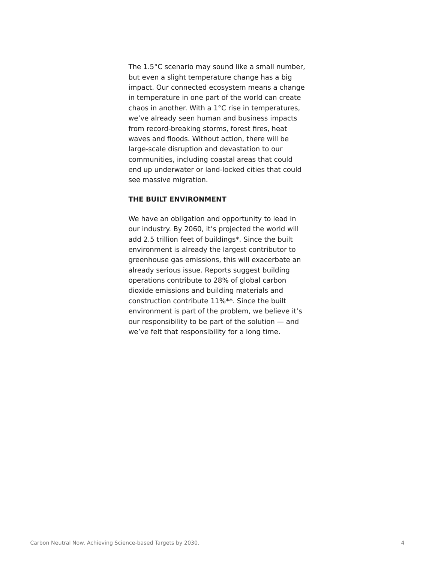The 1.5°C scenario may sound like a small number, but even a slight temperature change has a big impact. Our connected ecosystem means a change in temperature in one part of the world can create chaos in another. With a 1°C rise in temperatures, we've already seen human and business impacts from record-breaking storms, forest fires, heat waves and floods. Without action, there will be large-scale disruption and devastation to our communities, including coastal areas that could end up underwater or land-locked cities that could see massive migration.

#### **THE BUILT ENVIRONMENT**

We have an obligation and opportunity to lead in our industry. By 2060, it's projected the world will add 2.5 trillion feet of buildings\*. Since the built environment is already the largest contributor to greenhouse gas emissions, this will exacerbate an already serious issue. Reports suggest building operations contribute to 28% of global carbon dioxide emissions and building materials and construction contribute 11%\*\*. Since the built environment is part of the problem, we believe it's our responsibility to be part of the solution — and we've felt that responsibility for a long time.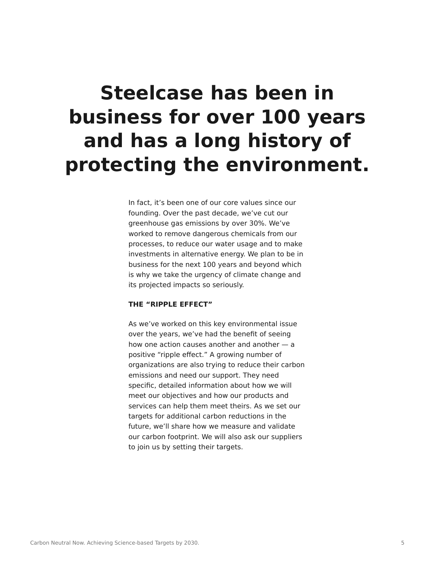# **Steelcase has been in business for over 100 years and has a long history of protecting the environment.**

In fact, it's been one of our core values since our founding. Over the past decade, we've cut our greenhouse gas emissions by over 30%. We've worked to remove dangerous chemicals from our processes, to reduce our water usage and to make investments in alternative energy. We plan to be in business for the next 100 years and beyond which is why we take the urgency of climate change and its projected impacts so seriously.

### **THE "RIPPLE EFFECT"**

As we've worked on this key environmental issue over the years, we've had the benefit of seeing how one action causes another and another  $-$  a positive "ripple effect." A growing number of organizations are also trying to reduce their carbon emissions and need our support. They need specific, detailed information about how we will meet our objectives and how our products and services can help them meet theirs. As we set our targets for additional carbon reductions in the future, we'll share how we measure and validate our carbon footprint. We will also ask our suppliers to join us by setting their targets.